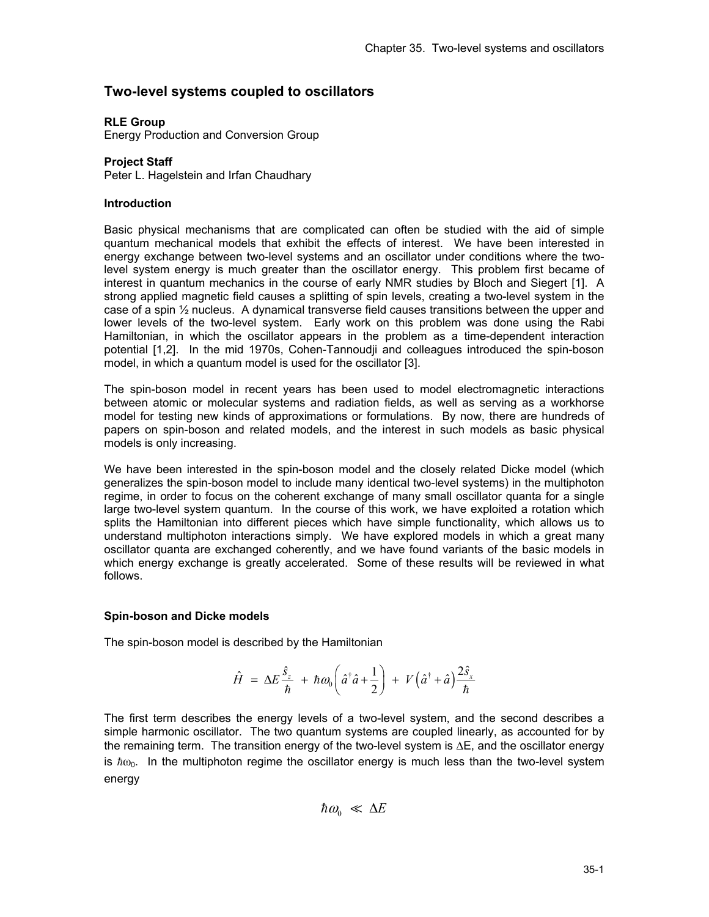# **Two-level systems coupled to oscillators**

# **RLE Group**

Energy Production and Conversion Group

## **Project Staff**

Peter L. Hagelstein and Irfan Chaudhary

### **Introduction**

Basic physical mechanisms that are complicated can often be studied with the aid of simple quantum mechanical models that exhibit the effects of interest. We have been interested in energy exchange between two-level systems and an oscillator under conditions where the twolevel system energy is much greater than the oscillator energy. This problem first became of interest in quantum mechanics in the course of early NMR studies by Bloch and Siegert [1]. A strong applied magnetic field causes a splitting of spin levels, creating a two-level system in the case of a spin ½ nucleus. A dynamical transverse field causes transitions between the upper and lower levels of the two-level system. Early work on this problem was done using the Rabi Hamiltonian, in which the oscillator appears in the problem as a time-dependent interaction potential [1,2]. In the mid 1970s, Cohen-Tannoudji and colleagues introduced the spin-boson model, in which a quantum model is used for the oscillator [3].

The spin-boson model in recent years has been used to model electromagnetic interactions between atomic or molecular systems and radiation fields, as well as serving as a workhorse model for testing new kinds of approximations or formulations. By now, there are hundreds of papers on spin-boson and related models, and the interest in such models as basic physical models is only increasing.

We have been interested in the spin-boson model and the closely related Dicke model (which generalizes the spin-boson model to include many identical two-level systems) in the multiphoton regime, in order to focus on the coherent exchange of many small oscillator quanta for a single large two-level system quantum. In the course of this work, we have exploited a rotation which splits the Hamiltonian into different pieces which have simple functionality, which allows us to understand multiphoton interactions simply. We have explored models in which a great many oscillator quanta are exchanged coherently, and we have found variants of the basic models in which energy exchange is greatly accelerated. Some of these results will be reviewed in what follows.

### **Spin-boson and Dicke models**

The spin-boson model is described by the Hamiltonian

$$
\hat{H} = \Delta E \frac{\hat{s}_z}{\hbar} + \hbar \omega_0 \left( \hat{a}^\dagger \hat{a} + \frac{1}{2} \right) + V \left( \hat{a}^\dagger + \hat{a} \right) \frac{2 \hat{s}_x}{\hbar}
$$

The first term describes the energy levels of a two-level system, and the second describes a simple harmonic oscillator. The two quantum systems are coupled linearly, as accounted for by the remaining term. The transition energy of the two-level system is  $\Delta E$ , and the oscillator energy is  $\hbar\omega_0$ . In the multiphoton regime the oscillator energy is much less than the two-level system energy

$$
\hbar \omega_0 \ll \Delta E
$$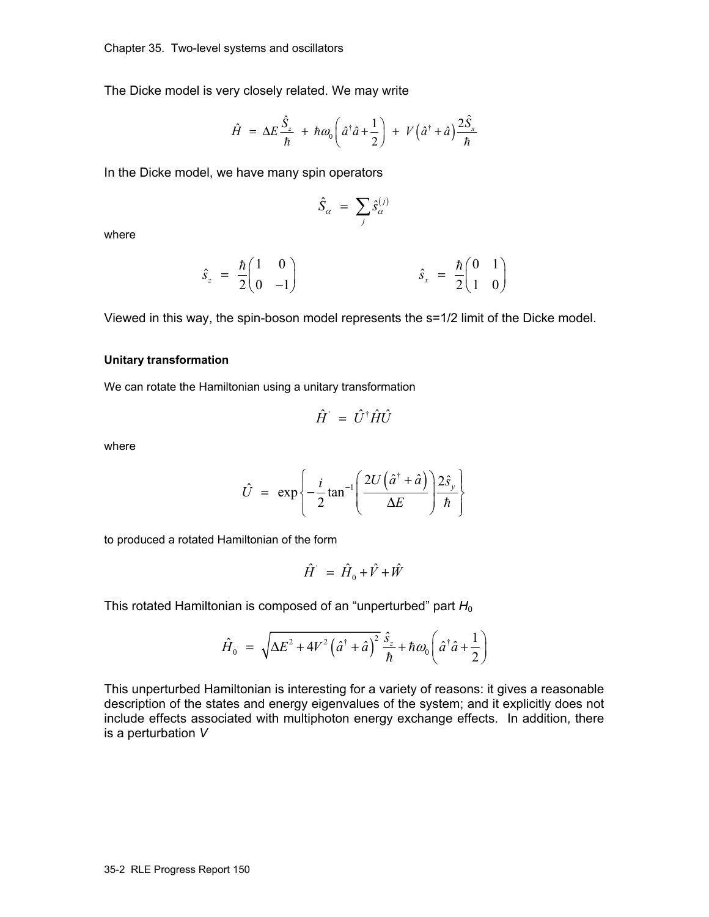The Dicke model is very closely related. We may write

$$
\hat{H} = \Delta E \frac{\hat{S}_z}{\hbar} + \hbar \omega_0 \left( \hat{a}^\dagger \hat{a} + \frac{1}{2} \right) + V \left( \hat{a}^\dagger + \hat{a} \right) \frac{2 \hat{S}_x}{\hbar}
$$

In the Dicke model, we have many spin operators

$$
\hat{S}_{\alpha} = \sum_{j} \hat{s}_{\alpha}^{(j)}
$$

where

$$
\hat{s}_z = \frac{\hbar}{2} \begin{pmatrix} 1 & 0 \\ 0 & -1 \end{pmatrix} \qquad \qquad \hat{s}_x = \frac{\hbar}{2} \begin{pmatrix} 0 & 1 \\ 1 & 0 \end{pmatrix}
$$

Viewed in this way, the spin-boson model represents the s=1/2 limit of the Dicke model.

## **Unitary transformation**

We can rotate the Hamiltonian using a unitary transformation

$$
\hat{H} = \hat{U}^{\dagger} \hat{H} \hat{U}
$$

where

$$
\hat{U} = \exp\left\{-\frac{i}{2}\tan^{-1}\left(\frac{2U\left(\hat{a}^{\dagger} + \hat{a}\right)}{\Delta E}\right)\frac{2\hat{s}_{y}}{\hbar}\right\}
$$

to produced a rotated Hamiltonian of the form

$$
\hat{H} = \hat{H}_0 + \hat{V} + \hat{W}
$$

This rotated Hamiltonian is composed of an "unperturbed" part  $H_0$ 

$$
\hat{H}_0 = \sqrt{\Delta E^2 + 4V^2 \left(\hat{a}^\dagger + \hat{a}\right)^2} \frac{\hat{s}_z}{\hbar} + \hbar \omega_0 \left(\hat{a}^\dagger \hat{a} + \frac{1}{2}\right)
$$

This unperturbed Hamiltonian is interesting for a variety of reasons: it gives a reasonable description of the states and energy eigenvalues of the system; and it explicitly does not include effects associated with multiphoton energy exchange effects. In addition, there is a perturbation *V*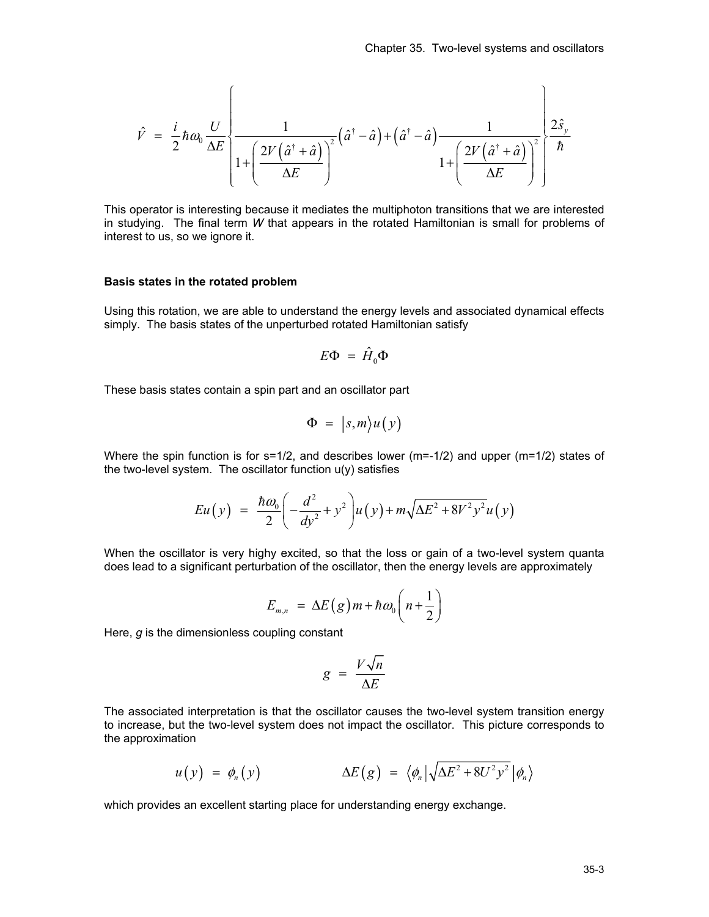$$
\hat{V} = \frac{i}{2}\hbar\omega_0 \frac{U}{\Delta E} \left\{ \frac{1}{1 + \left(\frac{2V(\hat{a}^{\dagger} + \hat{a})}{\Delta E}\right)^2} (\hat{a}^{\dagger} - \hat{a}) + (\hat{a}^{\dagger} - \hat{a}) \frac{1}{1 + \left(\frac{2V(\hat{a}^{\dagger} + \hat{a})}{\Delta E}\right)^2} \right\} \frac{2\hat{s}_{y}}{\hbar}
$$

This operator is interesting because it mediates the multiphoton transitions that we are interested in studying. The final term *W* that appears in the rotated Hamiltonian is small for problems of interest to us, so we ignore it.

#### **Basis states in the rotated problem**

Using this rotation, we are able to understand the energy levels and associated dynamical effects simply. The basis states of the unperturbed rotated Hamiltonian satisfy

$$
E\Phi = \hat{H}_0\Phi
$$

These basis states contain a spin part and an oscillator part

$$
\Phi = |s,m\rangle u(y)
$$

Where the spin function is for  $s=1/2$ , and describes lower ( $m=-1/2$ ) and upper ( $m=1/2$ ) states of the two-level system. The oscillator function u(y) satisfies

$$
Eu(y) = \frac{\hbar \omega_0}{2} \left( -\frac{d^2}{dy^2} + y^2 \right) u(y) + m \sqrt{\Delta E^2 + 8V^2 y^2} u(y)
$$

When the oscillator is very highy excited, so that the loss or gain of a two-level system quanta does lead to a significant perturbation of the oscillator, then the energy levels are approximately

$$
E_{m,n} = \Delta E(g) m + \hbar \omega_0 \left( n + \frac{1}{2} \right)
$$

Here, *g* is the dimensionless coupling constant

$$
g = \frac{V\sqrt{n}}{\Delta E}
$$

The associated interpretation is that the oscillator causes the two-level system transition energy to increase, but the two-level system does not impact the oscillator. This picture corresponds to the approximation

$$
u(y) = \phi_n(y) \qquad \Delta E(g) = \langle \phi_n | \sqrt{\Delta E^2 + 8U^2 y^2} | \phi_n \rangle
$$

which provides an excellent starting place for understanding energy exchange.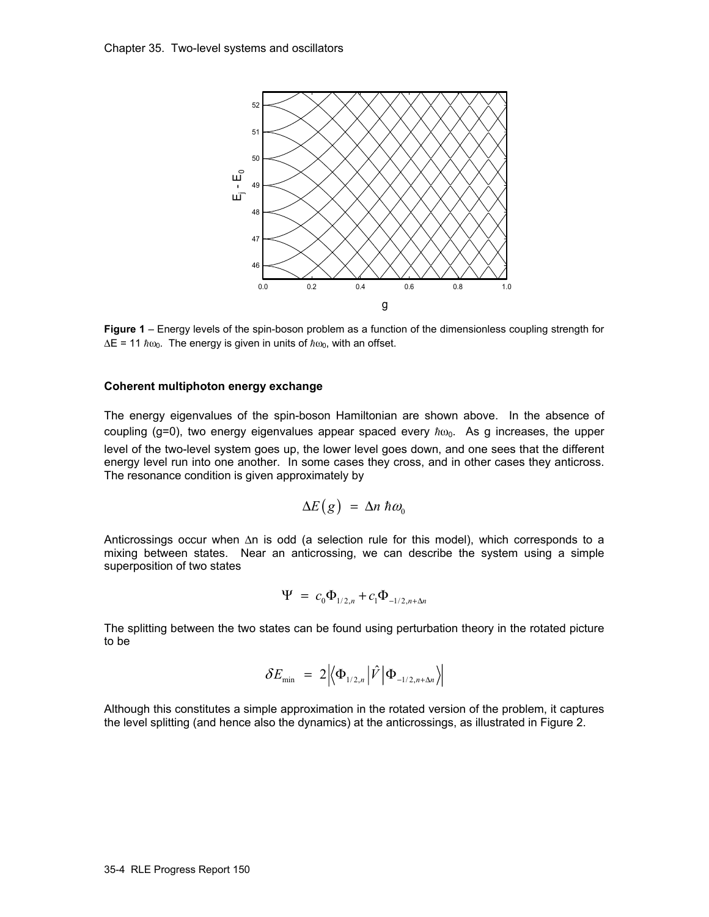

**Figure 1** – Energy levels of the spin-boson problem as a function of the dimensionless coupling strength for  $\Delta E = 11 \hbar \omega_0$ . The energy is given in units of  $\hbar \omega_0$ , with an offset.

#### **Coherent multiphoton energy exchange**

The energy eigenvalues of the spin-boson Hamiltonian are shown above. In the absence of coupling (g=0), two energy eigenvalues appear spaced every  $\hbar\omega_0$ . As g increases, the upper level of the two-level system goes up, the lower level goes down, and one sees that the different energy level run into one another. In some cases they cross, and in other cases they anticross. The resonance condition is given approximately by

$$
\Delta E(g) = \Delta n \; \hbar \omega_0
$$

Anticrossings occur when Δn is odd (a selection rule for this model), which corresponds to a mixing between states. Near an anticrossing, we can describe the system using a simple superposition of two states

$$
\Psi = c_0 \Phi_{1/2,n} + c_1 \Phi_{-1/2,n+\Delta n}
$$

The splitting between the two states can be found using perturbation theory in the rotated picture to be

$$
\delta E_{\min} = 2 \left| \left\langle \Phi_{1/2,n} \left| \hat{V} \right| \Phi_{-1/2,n+\Delta n} \right\rangle \right|
$$

Although this constitutes a simple approximation in the rotated version of the problem, it captures the level splitting (and hence also the dynamics) at the anticrossings, as illustrated in Figure 2.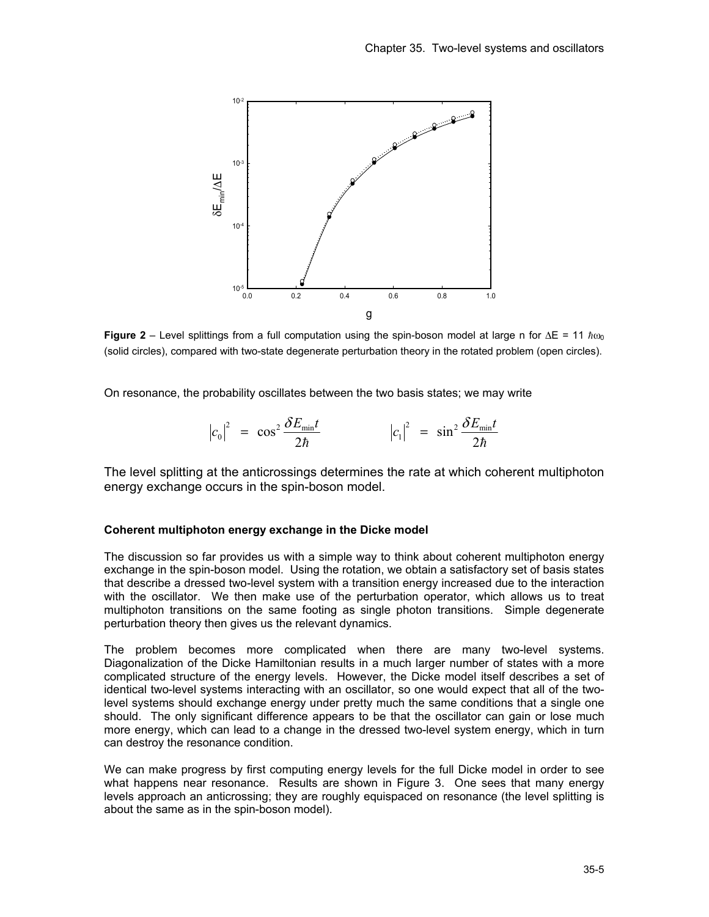

**Figure 2** – Level splittings from a full computation using the spin-boson model at large n for  $\Delta E = 11 h\omega_0$ (solid circles), compared with two-state degenerate perturbation theory in the rotated problem (open circles).

On resonance, the probability oscillates between the two basis states; we may write

$$
\left| c_0 \right|^2 = \cos^2 \frac{\delta E_{\min} t}{2\hbar} \qquad \qquad \left| c_1 \right|^2 = \sin^2 \frac{\delta E_{\min} t}{2\hbar}
$$

The level splitting at the anticrossings determines the rate at which coherent multiphoton energy exchange occurs in the spin-boson model.

#### **Coherent multiphoton energy exchange in the Dicke model**

The discussion so far provides us with a simple way to think about coherent multiphoton energy exchange in the spin-boson model. Using the rotation, we obtain a satisfactory set of basis states that describe a dressed two-level system with a transition energy increased due to the interaction with the oscillator. We then make use of the perturbation operator, which allows us to treat multiphoton transitions on the same footing as single photon transitions. Simple degenerate perturbation theory then gives us the relevant dynamics.

The problem becomes more complicated when there are many two-level systems. Diagonalization of the Dicke Hamiltonian results in a much larger number of states with a more complicated structure of the energy levels. However, the Dicke model itself describes a set of identical two-level systems interacting with an oscillator, so one would expect that all of the twolevel systems should exchange energy under pretty much the same conditions that a single one should. The only significant difference appears to be that the oscillator can gain or lose much more energy, which can lead to a change in the dressed two-level system energy, which in turn can destroy the resonance condition.

We can make progress by first computing energy levels for the full Dicke model in order to see what happens near resonance. Results are shown in Figure 3. One sees that many energy levels approach an anticrossing; they are roughly equispaced on resonance (the level splitting is about the same as in the spin-boson model).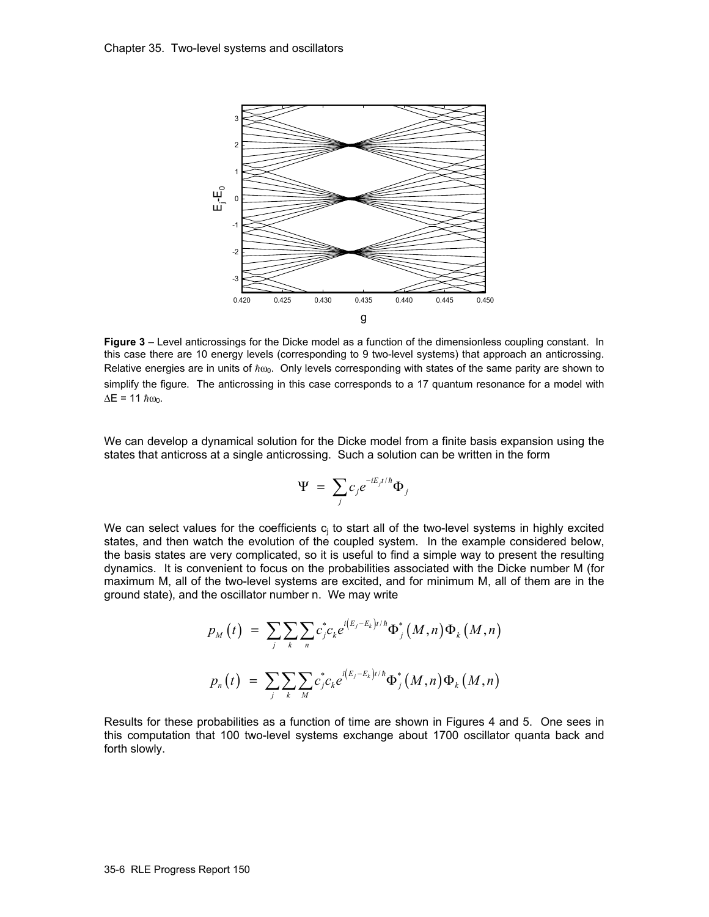

**Figure 3** – Level anticrossings for the Dicke model as a function of the dimensionless coupling constant. In this case there are 10 energy levels (corresponding to 9 two-level systems) that approach an anticrossing. Relative energies are in units of  $\hbar\omega_0$ . Only levels corresponding with states of the same parity are shown to simplify the figure. The anticrossing in this case corresponds to a 17 quantum resonance for a model with  $\Delta E = 11 \; \hbar \omega_0$ .

We can develop a dynamical solution for the Dicke model from a finite basis expansion using the states that anticross at a single anticrossing. Such a solution can be written in the form

$$
\Psi = \sum_j c_j e^{-iE_j t/\hbar} \Phi_j
$$

We can select values for the coefficients  $c_j$  to start all of the two-level systems in highly excited states, and then watch the evolution of the coupled system. In the example considered below, the basis states are very complicated, so it is useful to find a simple way to present the resulting dynamics. It is convenient to focus on the probabilities associated with the Dicke number M (for maximum M, all of the two-level systems are excited, and for minimum M, all of them are in the ground state), and the oscillator number n. We may write

$$
p_{M}(t) = \sum_{j} \sum_{k} \sum_{n} c_{j}^{*} c_{k} e^{i(E_{j} - E_{k})t/\hbar} \Phi_{j}^{*}(M, n) \Phi_{k}(M, n)
$$

$$
p_{n}(t) = \sum_{j} \sum_{k} \sum_{M} c_{j}^{*} c_{k} e^{i(E_{j} - E_{k})t/\hbar} \Phi_{j}^{*}(M, n) \Phi_{k}(M, n)
$$

Results for these probabilities as a function of time are shown in Figures 4 and 5. One sees in this computation that 100 two-level systems exchange about 1700 oscillator quanta back and forth slowly.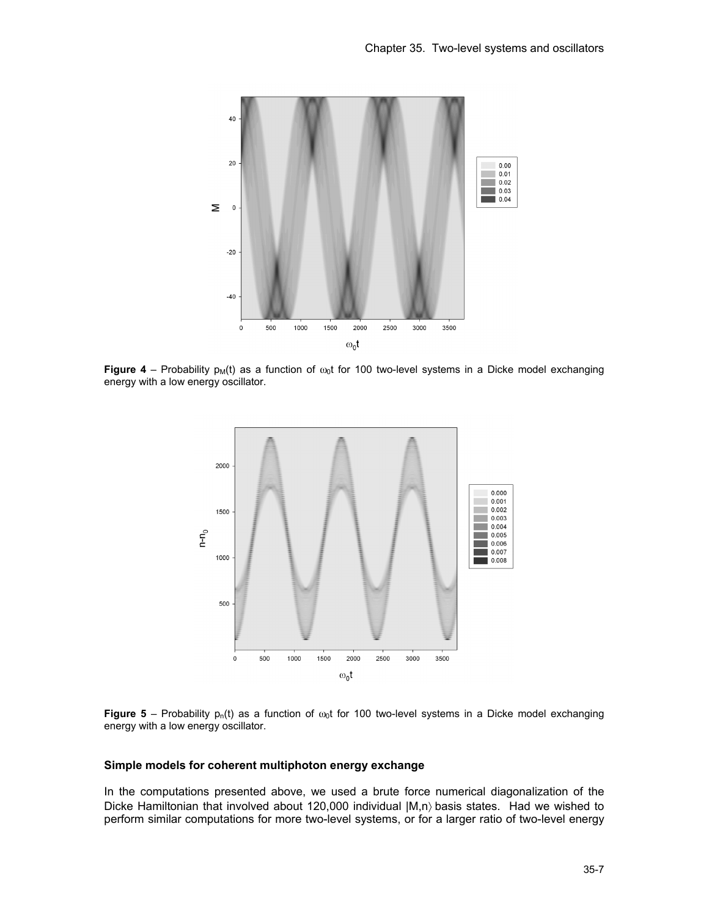

**Figure 4** – Probability  $p_M(t)$  as a function of  $\omega_0 t$  for 100 two-level systems in a Dicke model exchanging energy with a low energy oscillator.



**Figure 5** – Probability  $p_n(t)$  as a function of  $\omega_0 t$  for 100 two-level systems in a Dicke model exchanging energy with a low energy oscillator.

### **Simple models for coherent multiphoton energy exchange**

In the computations presented above, we used a brute force numerical diagonalization of the Dicke Hamiltonian that involved about 120,000 individual  $|M,n\rangle$  basis states. Had we wished to perform similar computations for more two-level systems, or for a larger ratio of two-level energy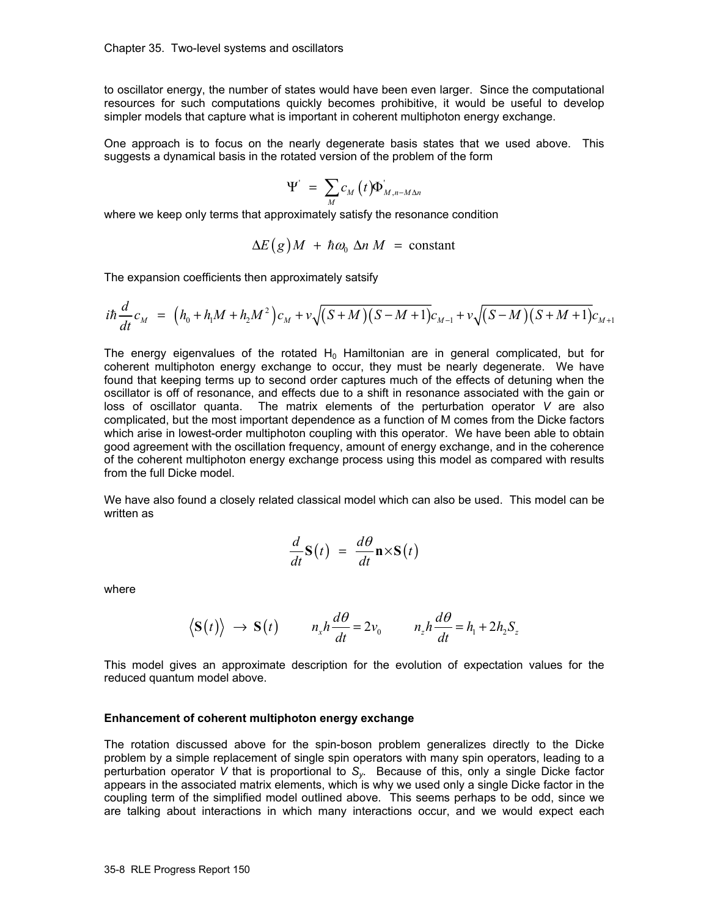to oscillator energy, the number of states would have been even larger. Since the computational resources for such computations quickly becomes prohibitive, it would be useful to develop simpler models that capture what is important in coherent multiphoton energy exchange.

One approach is to focus on the nearly degenerate basis states that we used above. This suggests a dynamical basis in the rotated version of the problem of the form

$$
\Psi' = \sum_{M} c_{M} (t) \Phi_{M,n-M\Delta n}'
$$

where we keep only terms that approximately satisfy the resonance condition

$$
\Delta E(g)M + \hbar \omega_0 \Delta n M = \text{constant}
$$

The expansion coefficients then approximately satsify

$$
i\hbar \frac{d}{dt} c_M = \left( h_0 + h_1 M + h_2 M^2 \right) c_M + v \sqrt{(S+M)(S-M+1)} c_{M-1} + v \sqrt{(S-M)(S+M+1)} c_{M+1}
$$

The energy eigenvalues of the rotated  $H_0$  Hamiltonian are in general complicated, but for coherent multiphoton energy exchange to occur, they must be nearly degenerate. We have found that keeping terms up to second order captures much of the effects of detuning when the oscillator is off of resonance, and effects due to a shift in resonance associated with the gain or loss of oscillator quanta. The matrix elements of the perturbation operator *V* are also complicated, but the most important dependence as a function of M comes from the Dicke factors which arise in lowest-order multiphoton coupling with this operator. We have been able to obtain good agreement with the oscillation frequency, amount of energy exchange, and in the coherence of the coherent multiphoton energy exchange process using this model as compared with results from the full Dicke model.

We have also found a closely related classical model which can also be used. This model can be written as

$$
\frac{d}{dt}\mathbf{S}(t) = \frac{d\theta}{dt}\mathbf{n}\times\mathbf{S}(t)
$$

where

$$
\langle \mathbf{S}(t) \rangle \rightarrow \mathbf{S}(t) \qquad n_x h \frac{d\theta}{dt} = 2v_0 \qquad n_z h \frac{d\theta}{dt} = h_1 + 2h_2 S_z
$$

This model gives an approximate description for the evolution of expectation values for the reduced quantum model above.

#### **Enhancement of coherent multiphoton energy exchange**

The rotation discussed above for the spin-boson problem generalizes directly to the Dicke problem by a simple replacement of single spin operators with many spin operators, leading to a perturbation operator *V* that is proportional to *Sy*. Because of this, only a single Dicke factor appears in the associated matrix elements, which is why we used only a single Dicke factor in the coupling term of the simplified model outlined above. This seems perhaps to be odd, since we are talking about interactions in which many interactions occur, and we would expect each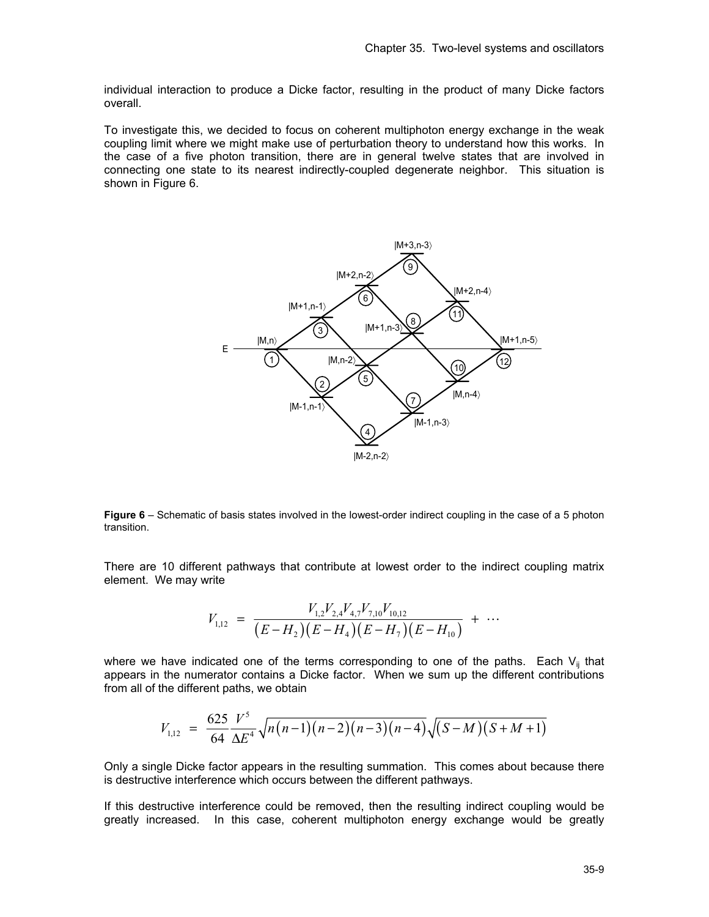individual interaction to produce a Dicke factor, resulting in the product of many Dicke factors overall.

To investigate this, we decided to focus on coherent multiphoton energy exchange in the weak coupling limit where we might make use of perturbation theory to understand how this works. In the case of a five photon transition, there are in general twelve states that are involved in connecting one state to its nearest indirectly-coupled degenerate neighbor. This situation is shown in Figure 6.



**Figure 6** – Schematic of basis states involved in the lowest-order indirect coupling in the case of a 5 photon transition.

There are 10 different pathways that contribute at lowest order to the indirect coupling matrix element. We may write

$$
V_{1,12} = \frac{V_{1,2}V_{2,4}V_{4,7}V_{7,10}V_{10,12}}{(E-H_2)(E-H_4)(E-H_7)(E-H_{10})} + \cdots
$$

where we have indicated one of the terms corresponding to one of the paths. Each  $V_{ij}$  that appears in the numerator contains a Dicke factor. When we sum up the different contributions from all of the different paths, we obtain

$$
V_{1,12} = \frac{625 \ V^5}{64 \ \Delta E^4} \sqrt{n(n-1)(n-2)(n-3)(n-4)} \sqrt{(S-M)(S+M+1)}
$$

Only a single Dicke factor appears in the resulting summation. This comes about because there is destructive interference which occurs between the different pathways.

If this destructive interference could be removed, then the resulting indirect coupling would be greatly increased. In this case, coherent multiphoton energy exchange would be greatly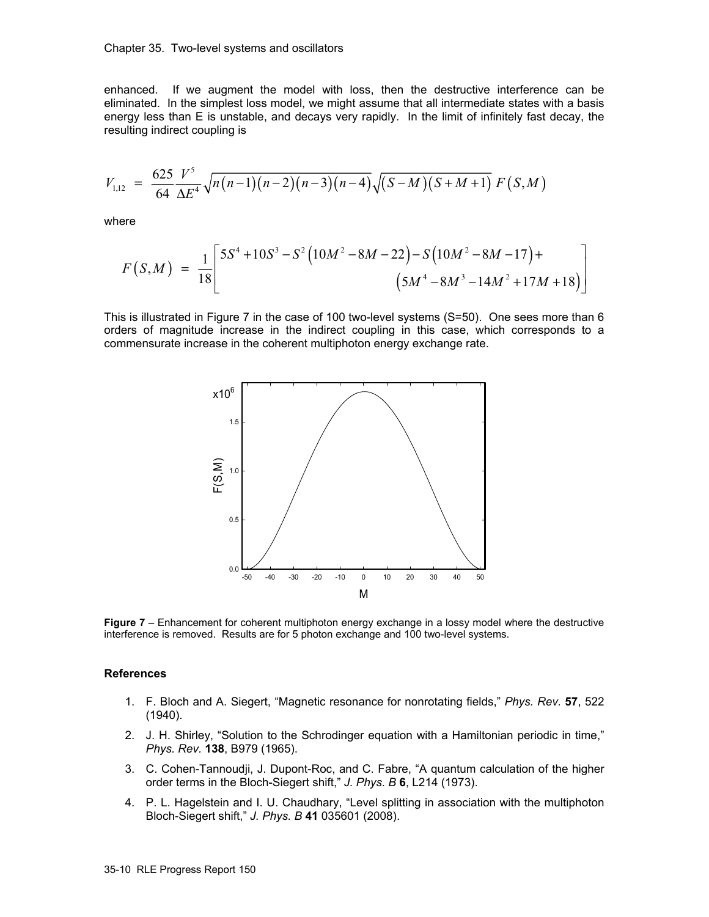#### Chapter 35. Two-level systems and oscillators

enhanced. If we augment the model with loss, then the destructive interference can be eliminated. In the simplest loss model, we might assume that all intermediate states with a basis energy less than E is unstable, and decays very rapidly. In the limit of infinitely fast decay, the resulting indirect coupling is

$$
V_{1,12} = \frac{625}{64} \frac{V^5}{\Delta E^4} \sqrt{n(n-1)(n-2)(n-3)(n-4)} \sqrt{(S-M)(S+M+1)} F(S,M)
$$

where

$$
F(S,M) = \frac{1}{18} \left[ \frac{5S^4 + 10S^3 - S^2 (10M^2 - 8M - 22) - S(10M^2 - 8M - 17) + (5M^4 - 8M^3 - 14M^2 + 17M + 18)}{(5M^4 - 8M^3 - 14M^2 + 17M + 18)} \right]
$$

This is illustrated in Figure 7 in the case of 100 two-level systems (S=50). One sees more than 6 orders of magnitude increase in the indirect coupling in this case, which corresponds to a commensurate increase in the coherent multiphoton energy exchange rate.



**Figure 7** – Enhancement for coherent multiphoton energy exchange in a lossy model where the destructive interference is removed. Results are for 5 photon exchange and 100 two-level systems.

#### **References**

- 1. F. Bloch and A. Siegert, "Magnetic resonance for nonrotating fields," *Phys. Rev.* **57**, 522 (1940).
- 2. J. H. Shirley, "Solution to the Schrodinger equation with a Hamiltonian periodic in time," *Phys. Rev.* **138**, B979 (1965).
- 3. C. Cohen-Tannoudji, J. Dupont-Roc, and C. Fabre, "A quantum calculation of the higher order terms in the Bloch-Siegert shift," *J. Phys. B* **6**, L214 (1973).
- 4. P. L. Hagelstein and I. U. Chaudhary, "Level splitting in association with the multiphoton Bloch-Siegert shift," *J. Phys. B* **41** 035601 (2008).